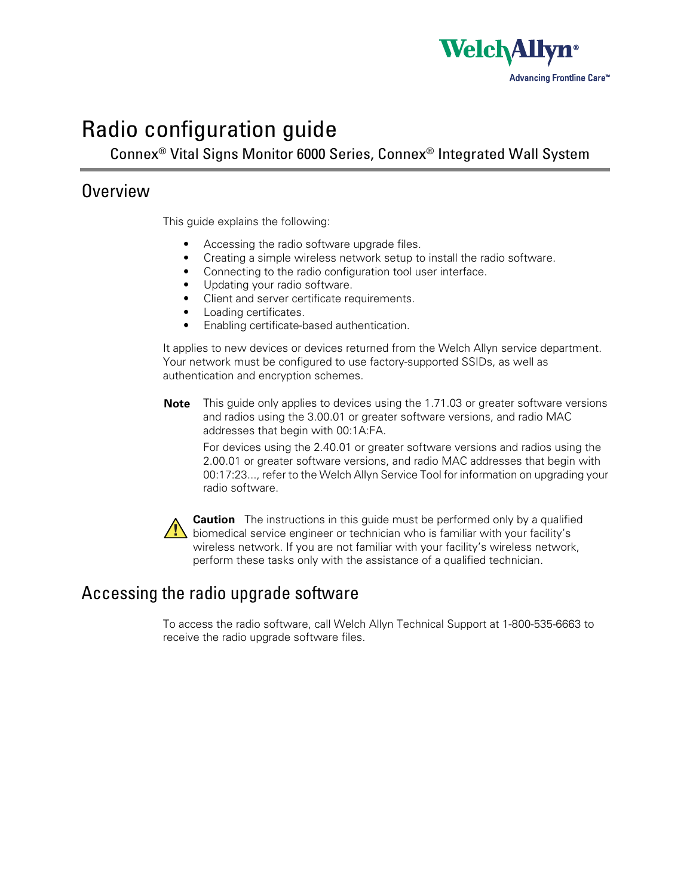

# Radio configuration guide

Connex® Vital Signs Monitor 6000 Series, Connex® Integrated Wall System

## Overview

This guide explains the following:

- Accessing the radio software upgrade files.
- Creating a simple wireless network setup to install the radio software.
- Connecting to the radio configuration tool user interface.
- Updating your radio software.
- Client and server certificate requirements.
- Loading certificates.
- Enabling certificate-based authentication.

It applies to new devices or devices returned from the Welch Allyn service department. Your network must be configured to use factory-supported SSIDs, as well as authentication and encryption schemes.

**Note** This guide only applies to devices using the 1.71.03 or greater software versions and radios using the 3.00.01 or greater software versions, and radio MAC addresses that begin with 00:1A:FA.

For devices using the 2.40.01 or greater software versions and radios using the 2.00.01 or greater software versions, and radio MAC addresses that begin with 00:17:23..., refer to the Welch Allyn Service Tool for information on upgrading your radio software.

**Caution** The instructions in this quide must be performed only by a qualified  $\sum$  biomedical service engineer or technician who is familiar with your facility's wireless network. If you are not familiar with your facility's wireless network, perform these tasks only with the assistance of a qualified technician.

# <span id="page-0-0"></span>Accessing the radio upgrade software

To access the radio software, call Welch Allyn Technical Support at 1-800-535-6663 to receive the radio upgrade software files.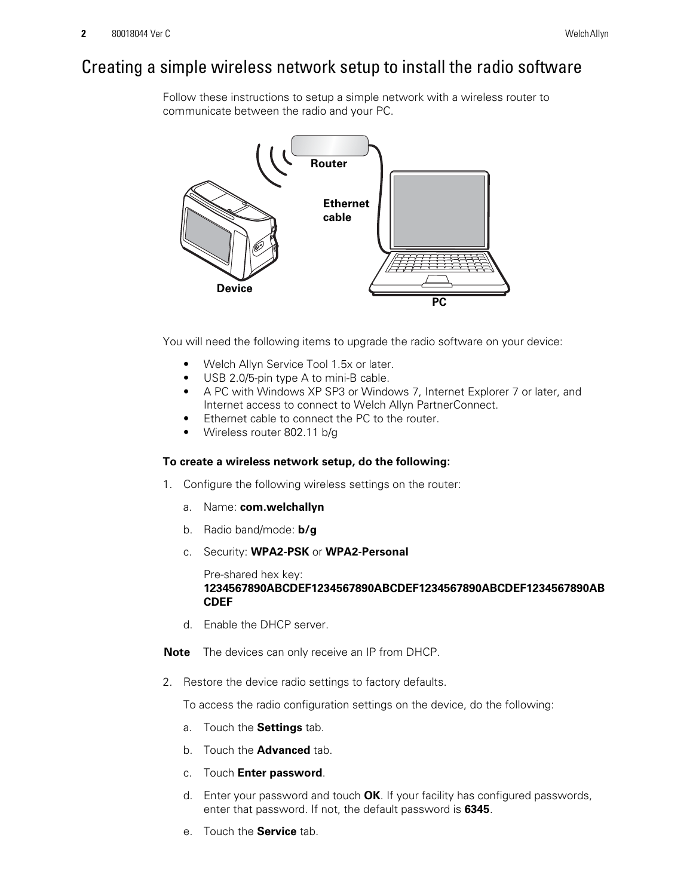# <span id="page-1-1"></span>Creating a simple wireless network setup to install the radio software

Follow these instructions to setup a simple network with a wireless router to communicate between the radio and your PC.



You will need the following items to upgrade the radio software on your device:

- Welch Allyn Service Tool 1.5x or later.
- USB 2.0/5-pin type A to mini-B cable.
- A PC with Windows XP SP3 or Windows 7, Internet Explorer 7 or later, and Internet access to connect to Welch Allyn PartnerConnect.
- Ethernet cable to connect the PC to the router.
- Wireless router 802.11 b/g

### **To create a wireless network setup, do the following:**

- 1. Configure the following wireless settings on the router:
	- a. Name: **com.welchallyn**
	- b. Radio band/mode: **b/g**
	- c. Security: **WPA2-PSK** or **WPA2-Personal**

Pre-shared hex key: **1234567890ABCDEF1234567890ABCDEF1234567890ABCDEF1234567890AB CDEF**

d. Enable the DHCP server.

**Note** The devices can only receive an IP from DHCP.

<span id="page-1-0"></span>2. Restore the device radio settings to factory defaults.

To access the radio configuration settings on the device, do the following:

- a. Touch the **Settings** tab.
- b. Touch the **Advanced** tab.
- c. Touch **Enter password**.
- d. Enter your password and touch **OK**. If your facility has configured passwords, enter that password. If not, the default password is **6345**.
- e. Touch the **Service** tab.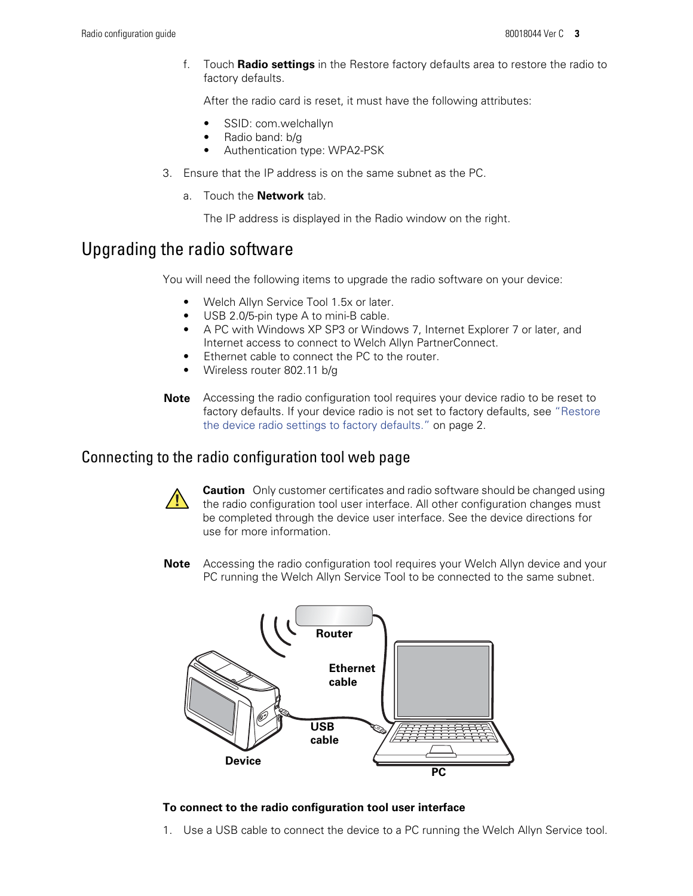f. Touch **Radio settings** in the Restore factory defaults area to restore the radio to factory defaults.

After the radio card is reset, it must have the following attributes:

- SSID: com.welchallyn
- Radio band: b/g
- Authentication type: WPA2-PSK
- 3. Ensure that the IP address is on the same subnet as the PC.
	- a. Touch the **Network** tab.

The IP address is displayed in the Radio window on the right.

# Upgrading the radio software

You will need the following items to upgrade the radio software on your device:

- Welch Allyn Service Tool 1.5x or later.
- USB 2.0/5-pin type A to mini-B cable.
- A PC with Windows XP SP3 or Windows 7, Internet Explorer 7 or later, and Internet access to connect to Welch Allyn PartnerConnect.
- Ethernet cable to connect the PC to the router.
- Wireless router 802.11 b/g
- **Note** Accessing the radio configuration tool requires your device radio to be reset to factory defaults. If your device radio is not set to factory defaults, see ["Restore](#page-1-0) [the device radio settings to factory defaults."](#page-1-0) on page 2.

### Connecting to the radio configuration tool web page



**Caution** Only customer certificates and radio software should be changed using the radio configuration tool user interface. All other configuration changes must be completed through the device user interface. See the device directions for use for more information.

**Note** Accessing the radio configuration tool requires your Welch Allyn device and your PC running the Welch Allyn Service Tool to be connected to the same subnet.



#### **To connect to the radio configuration tool user interface**

1. Use a USB cable to connect the device to a PC running the Welch Allyn Service tool.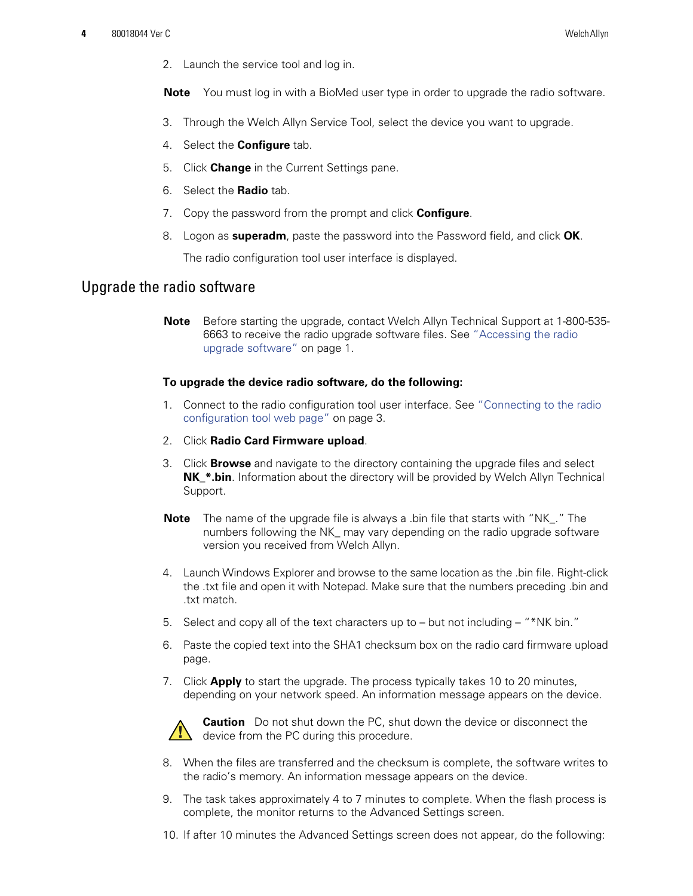2. Launch the service tool and log in.

**Note** You must log in with a BioMed user type in order to upgrade the radio software.

- 3. Through the Welch Allyn Service Tool, select the device you want to upgrade.
- 4. Select the **Configure** tab.
- 5. Click **Change** in the Current Settings pane.
- 6. Select the **Radio** tab.
- 7. Copy the password from the prompt and click **Configure**.
- 8. Logon as **superadm**, paste the password into the Password field, and click **OK**.

The radio configuration tool user interface is displayed.

### Upgrade the radio software

**Note** Before starting the upgrade, contact Welch Allyn Technical Support at 1-800-535- 6663 to receive the radio upgrade software files. See ["Accessing the radio](#page-0-0) [upgrade software"](#page-0-0) on page 1.

#### **To upgrade the device radio software, do the following:**

- 1. Connect to the radio configuration tool user interface. See "Connecting to the radio configuration tool web page" on page 3.
- 2. Click **Radio Card Firmware upload**.
- 3. Click **Browse** and navigate to the directory containing the upgrade files and select **NK\_\*.bin**. Information about the directory will be provided by Welch Allyn Technical Support.
- **Note** The name of the upgrade file is always a .bin file that starts with "NK\_." The numbers following the NK\_ may vary depending on the radio upgrade software version you received from Welch Allyn.
- 4. Launch Windows Explorer and browse to the same location as the .bin file. Right-click the .txt file and open it with Notepad. Make sure that the numbers preceding .bin and .txt match.
- 5. Select and copy all of the text characters up to but not including "\*NK bin."
- 6. Paste the copied text into the SHA1 checksum box on the radio card firmware upload page.
- 7. Click **Apply** to start the upgrade. The process typically takes 10 to 20 minutes, depending on your network speed. An information message appears on the device.



**Caution** Do not shut down the PC, shut down the device or disconnect the  $\sqrt{\frac{1}{2}}$  device from the PC during this procedure.

- 8. When the files are transferred and the checksum is complete, the software writes to the radio's memory. An information message appears on the device.
- 9. The task takes approximately 4 to 7 minutes to complete. When the flash process is complete, the monitor returns to the Advanced Settings screen.
- 10. If after 10 minutes the Advanced Settings screen does not appear, do the following: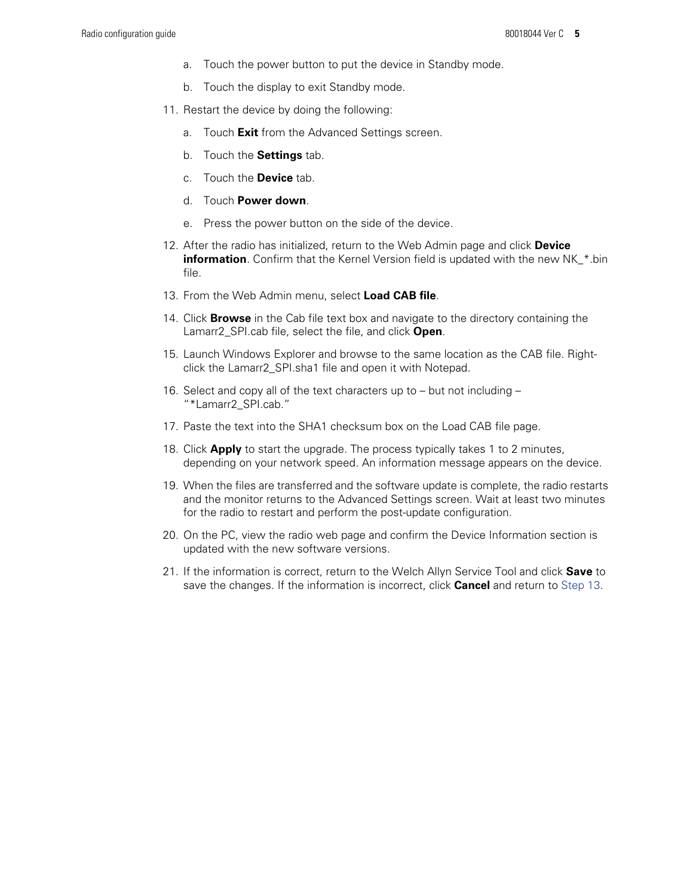- a. Touch the power button to put the device in Standby mode.
- b. Touch the display to exit Standby mode.
- 11. Restart the device by doing the following:
	- a. Touch **Exit** from the Advanced Settings screen.
	- b. Touch the **Settings** tab.
	- c. Touch the **Device** tab.
	- d. Touch **Power down**.
	- e. Press the power button on the side of the device.
- 12. After the radio has initialized, return to the Web Admin page and click **Device information**. Confirm that the Kernel Version field is updated with the new NK\_\*.bin file.
- <span id="page-4-0"></span>13. From the Web Admin menu, select **Load CAB file**.
- 14. Click **Browse** in the Cab file text box and navigate to the directory containing the Lamarr2\_SPI.cab file, select the file, and click **Open**.
- 15. Launch Windows Explorer and browse to the same location as the CAB file. Rightclick the Lamarr2\_SPI.sha1 file and open it with Notepad.
- 16. Select and copy all of the text characters up to but not including "\*Lamarr2\_SPI.cab."
- 17. Paste the text into the SHA1 checksum box on the Load CAB file page.
- 18. Click **Apply** to start the upgrade. The process typically takes 1 to 2 minutes, depending on your network speed. An information message appears on the device.
- 19. When the files are transferred and the software update is complete, the radio restarts and the monitor returns to the Advanced Settings screen. Wait at least two minutes for the radio to restart and perform the post-update configuration.
- 20. On the PC, view the radio web page and confirm the Device Information section is updated with the new software versions.
- 21. If the information is correct, return to the Welch Allyn Service Tool and click **Save** to save the changes. If the information is incorrect, click **Cancel** and return to [Step 13](#page-4-0).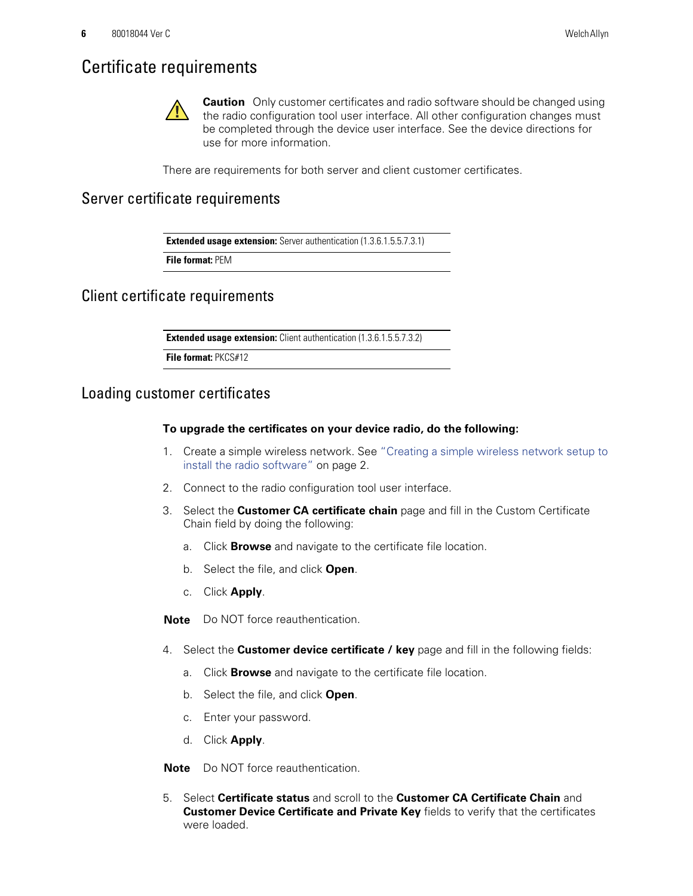# Certificate requirements

**Caution** Only customer certificates and radio software should be changed using the radio configuration tool user interface. All other configuration changes must be completed through the device user interface. See the device directions for use for more information.

There are requirements for both server and client customer certificates.

### Server certificate requirements

**Extended usage extension:** Server authentication (1.3.6.1.5.5.7.3.1)

**File format:** PEM

Client certificate requirements

**Extended usage extension:** Client authentication (1.3.6.1.5.5.7.3.2)

**File format:** PKCS#12

### <span id="page-5-0"></span>Loading customer certificates

### **To upgrade the certificates on your device radio, do the following:**

- 1. Create a simple wireless network. See ["Creating a simple wireless network setup to](#page-1-1) [install the radio software"](#page-1-1) on page 2.
- 2. Connect to the radio configuration tool user interface.
- <span id="page-5-1"></span>3. Select the **Customer CA certificate chain** page and fill in the Custom Certificate Chain field by doing the following:
	- a. Click **Browse** and navigate to the certificate file location.
	- b. Select the file, and click **Open**.
	- c. Click **Apply**.

**Note** Do NOT force reauthentication.

- 4. Select the **Customer device certificate / key** page and fill in the following fields:
	- a. Click **Browse** and navigate to the certificate file location.
	- b. Select the file, and click **Open**.
	- c. Enter your password.
	- d. Click **Apply**.

**Note** Do NOT force reauthentication.

5. Select **Certificate status** and scroll to the **Customer CA Certificate Chain** and **Customer Device Certificate and Private Key** fields to verify that the certificates were loaded.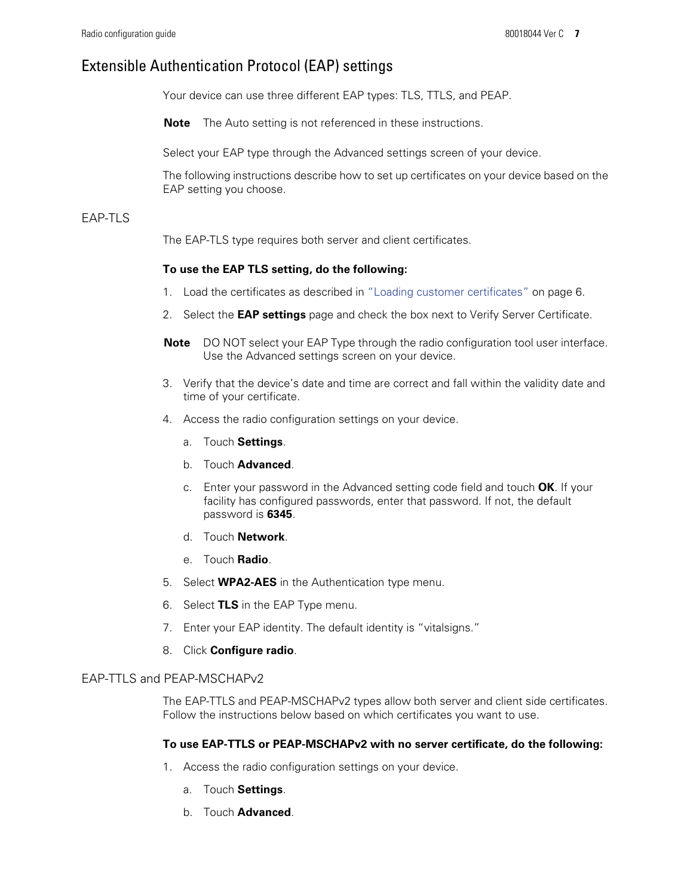### Extensible Authentication Protocol (EAP) settings

Your device can use three different EAP types: TLS, TTLS, and PEAP.

**Note** The Auto setting is not referenced in these instructions.

Select your EAP type through the Advanced settings screen of your device.

The following instructions describe how to set up certificates on your device based on the EAP setting you choose.

### EAP-TLS

The EAP-TLS type requires both server and client certificates.

#### **To use the EAP TLS setting, do the following:**

- 1. Load the certificates as described in ["Loading customer certificates"](#page-5-0) on page 6.
- 2. Select the **EAP settings** page and check the box next to Verify Server Certificate.
- **Note** DO NOT select your EAP Type through the radio configuration tool user interface. Use the Advanced settings screen on your device.
- 3. Verify that the device's date and time are correct and fall within the validity date and time of your certificate.
- 4. Access the radio configuration settings on your device.
	- a. Touch **Settings**.
	- b. Touch **Advanced**.
	- c. Enter your password in the Advanced setting code field and touch **OK**. If your facility has configured passwords, enter that password. If not, the default password is **6345**.
	- d. Touch **Network**.
	- e. Touch **Radio**.
- 5. Select **WPA2-AES** in the Authentication type menu.
- 6. Select **TLS** in the EAP Type menu.
- 7. Enter your EAP identity. The default identity is "vitalsigns."
- 8. Click **Configure radio**.

#### EAP-TTLS and PEAP-MSCHAPv2

The EAP-TTLS and PEAP-MSCHAPv2 types allow both server and client side certificates. Follow the instructions below based on which certificates you want to use.

#### **To use EAP-TTLS or PEAP-MSCHAPv2 with no server certificate, do the following:**

- 1. Access the radio configuration settings on your device.
	- a. Touch **Settings**.
	- b. Touch **Advanced**.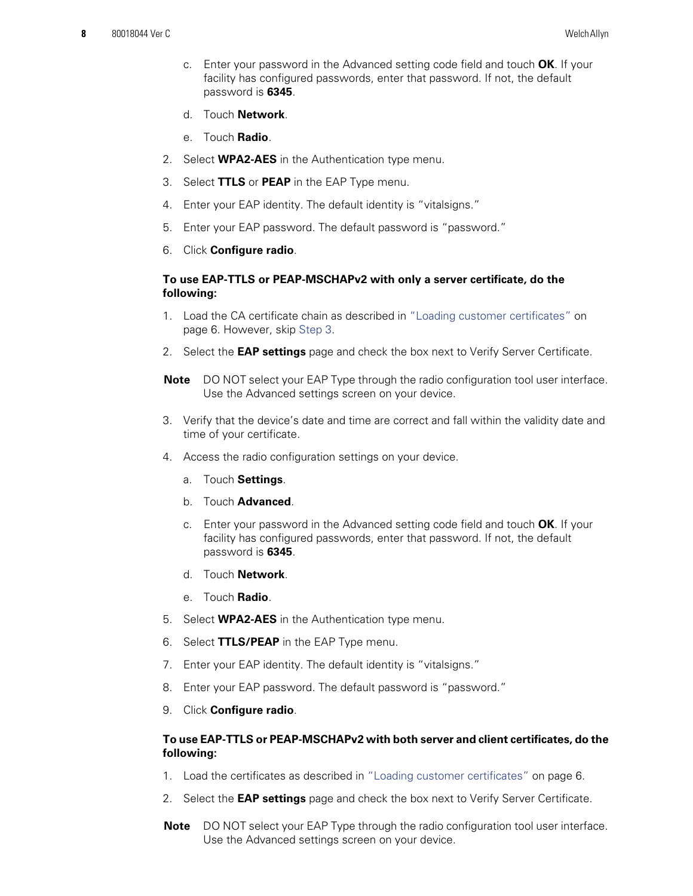- c. Enter your password in the Advanced setting code field and touch **OK**. If your facility has configured passwords, enter that password. If not, the default password is **6345**.
- d. Touch **Network**.
- e. Touch **Radio**.
- 2. Select **WPA2-AES** in the Authentication type menu.
- 3. Select **TTLS** or **PEAP** in the EAP Type menu.
- 4. Enter your EAP identity. The default identity is "vitalsigns."
- 5. Enter your EAP password. The default password is "password."
- 6. Click **Configure radio**.

### **To use EAP-TTLS or PEAP-MSCHAPv2 with only a server certificate, do the following:**

- 1. Load the CA certificate chain as described in ["Loading customer certificates"](#page-5-0) on [page 6](#page-5-0). However, skip [Step 3](#page-5-1).
- 2. Select the **EAP settings** page and check the box next to Verify Server Certificate.
- **Note** DO NOT select your EAP Type through the radio configuration tool user interface. Use the Advanced settings screen on your device.
- 3. Verify that the device's date and time are correct and fall within the validity date and time of your certificate.
- 4. Access the radio configuration settings on your device.
	- a. Touch **Settings**.
	- b. Touch **Advanced**.
	- c. Enter your password in the Advanced setting code field and touch **OK**. If your facility has configured passwords, enter that password. If not, the default password is **6345**.
	- d. Touch **Network**.
	- e. Touch **Radio**.
- 5. Select **WPA2-AES** in the Authentication type menu.
- 6. Select **TTLS/PEAP** in the EAP Type menu.
- 7. Enter your EAP identity. The default identity is "vitalsigns."
- 8. Enter your EAP password. The default password is "password."
- 9. Click **Configure radio**.

### **To use EAP-TTLS or PEAP-MSCHAPv2 with both server and client certificates, do the following:**

- 1. Load the certificates as described in ["Loading customer certificates"](#page-5-0) on page 6.
- 2. Select the **EAP settings** page and check the box next to Verify Server Certificate.
- **Note** DO NOT select your EAP Type through the radio configuration tool user interface. Use the Advanced settings screen on your device.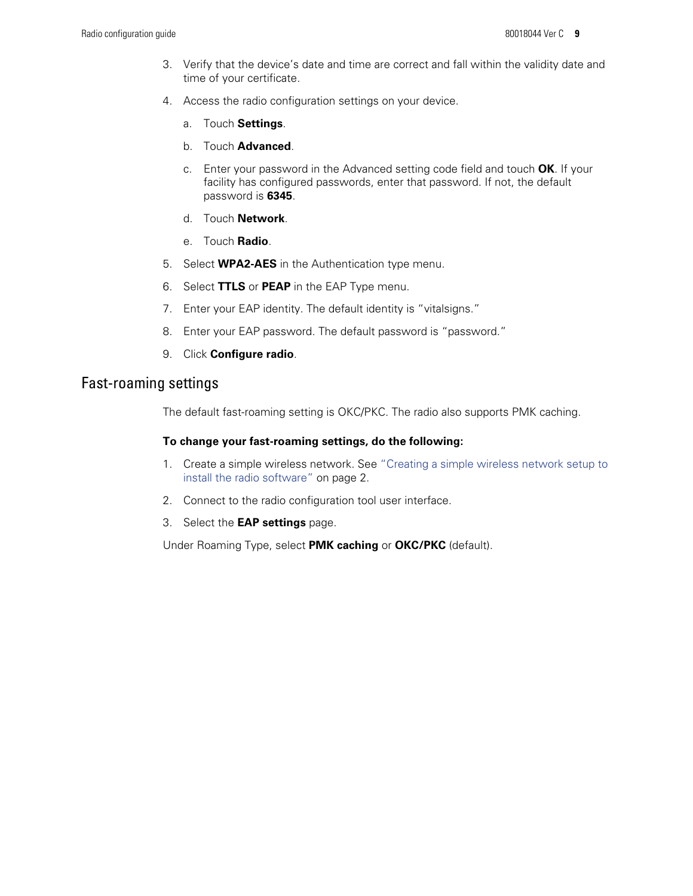- 3. Verify that the device's date and time are correct and fall within the validity date and time of your certificate.
- 4. Access the radio configuration settings on your device.
	- a. Touch **Settings**.
	- b. Touch **Advanced**.
	- c. Enter your password in the Advanced setting code field and touch **OK**. If your facility has configured passwords, enter that password. If not, the default password is **6345**.
	- d. Touch **Network**.
	- e. Touch **Radio**.
- 5. Select **WPA2-AES** in the Authentication type menu.
- 6. Select **TTLS** or **PEAP** in the EAP Type menu.
- 7. Enter your EAP identity. The default identity is "vitalsigns."
- 8. Enter your EAP password. The default password is "password."
- 9. Click **Configure radio**.

### Fast-roaming settings

The default fast-roaming setting is OKC/PKC. The radio also supports PMK caching.

#### **To change your fast-roaming settings, do the following:**

- 1. Create a simple wireless network. See ["Creating a simple wireless network setup to](#page-1-1) [install the radio software"](#page-1-1) on page 2.
- 2. Connect to the radio configuration tool user interface.
- 3. Select the **EAP settings** page.

Under Roaming Type, select **PMK caching** or **OKC/PKC** (default).